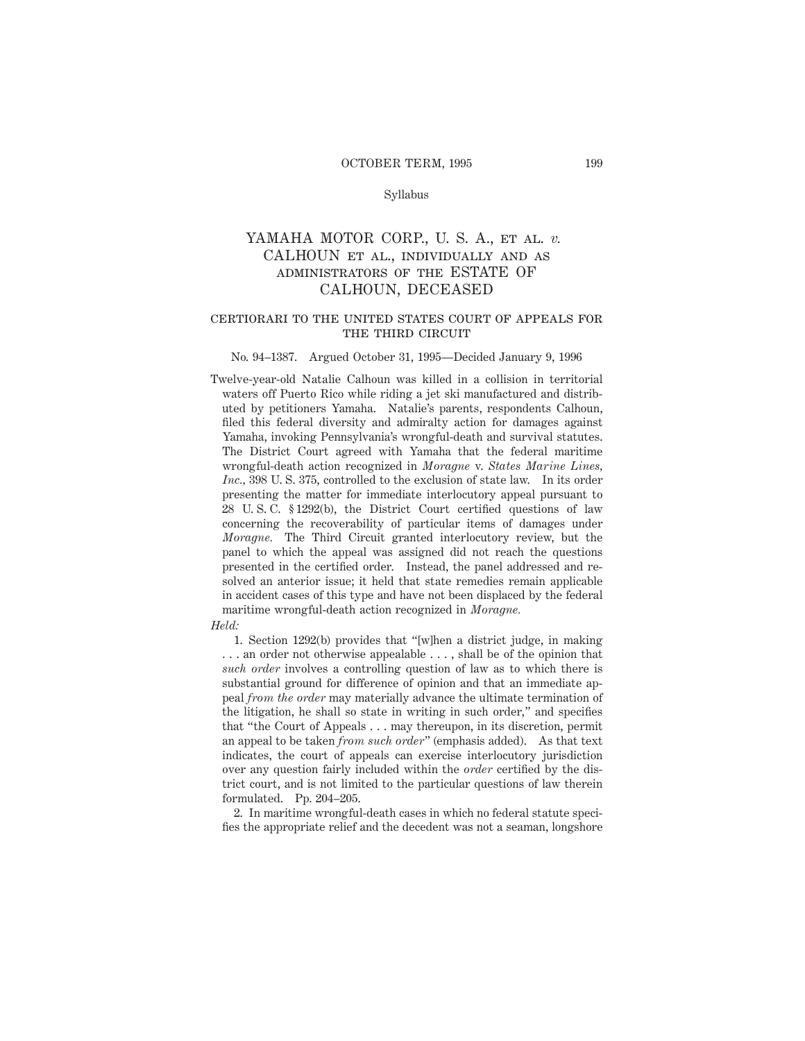# Syllabus

# YAMAHA MOTOR CORP., U.S. A., ET AL. *v.* CALHOUN et al., individually and as administrators of the ESTATE OF CALHOUN, DECEASED

# certiorari to the united states court of appeals for THE THIRD CIRCUIT

#### No. 94–1387. Argued October 31, 1995—Decided January 9, 1996

- Twelve-year-old Natalie Calhoun was killed in a collision in territorial waters off Puerto Rico while riding a jet ski manufactured and distributed by petitioners Yamaha. Natalie's parents, respondents Calhoun, filed this federal diversity and admiralty action for damages against Yamaha, invoking Pennsylvania's wrongful-death and survival statutes. The District Court agreed with Yamaha that the federal maritime wrongful-death action recognized in *Moragne* v. *States Marine Lines, Inc.,* 398 U. S. 375, controlled to the exclusion of state law. In its order presenting the matter for immediate interlocutory appeal pursuant to 28 U. S. C. § 1292(b), the District Court certified questions of law concerning the recoverability of particular items of damages under *Moragne.* The Third Circuit granted interlocutory review, but the panel to which the appeal was assigned did not reach the questions presented in the certified order. Instead, the panel addressed and resolved an anterior issue; it held that state remedies remain applicable in accident cases of this type and have not been displaced by the federal maritime wrongful-death action recognized in *Moragne.*
- *Held:*

1. Section 1292(b) provides that "[w]hen a district judge, in making . . . an order not otherwise appealable . . . , shall be of the opinion that *such order* involves a controlling question of law as to which there is substantial ground for difference of opinion and that an immediate appeal *from the order* may materially advance the ultimate termination of the litigation, he shall so state in writing in such order," and specifies that "the Court of Appeals . . . may thereupon, in its discretion, permit an appeal to be taken *from such order*" (emphasis added). As that text indicates, the court of appeals can exercise interlocutory jurisdiction over any question fairly included within the *order* certified by the district court, and is not limited to the particular questions of law therein formulated. Pp. 204–205.

2. In maritime wrongful-death cases in which no federal statute specifies the appropriate relief and the decedent was not a seaman, longshore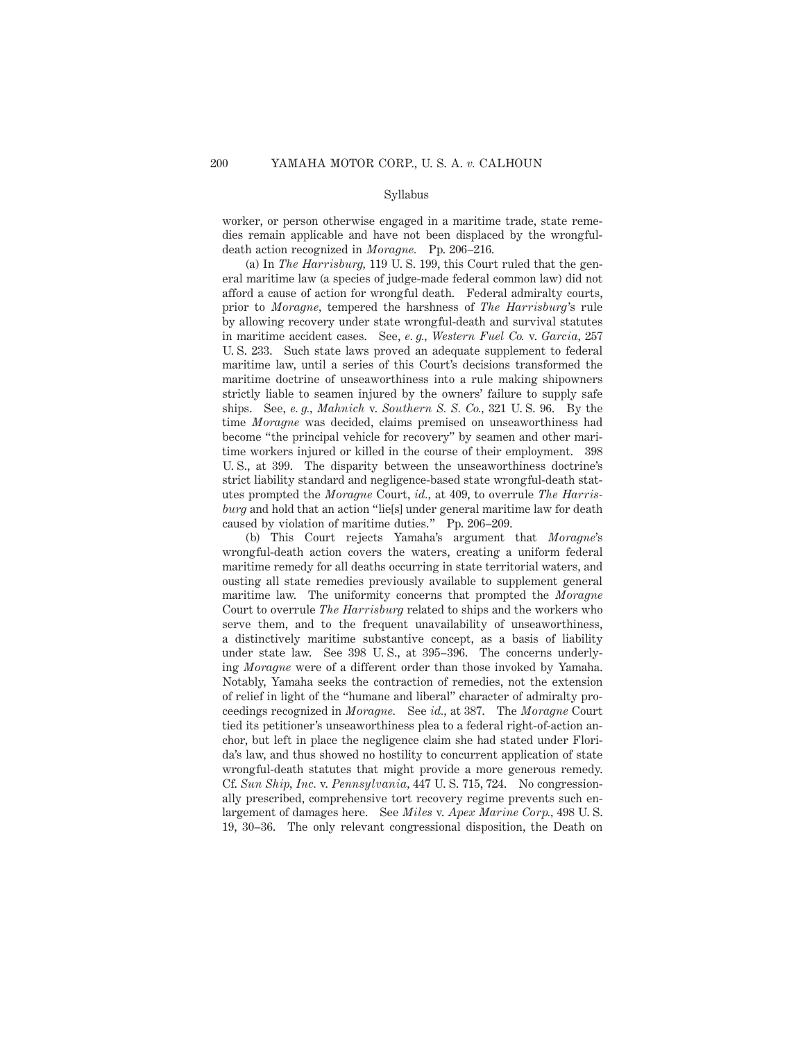# Syllabus

worker, or person otherwise engaged in a maritime trade, state remedies remain applicable and have not been displaced by the wrongfuldeath action recognized in *Moragne.* Pp. 206–216.

(a) In *The Harrisburg,* 119 U. S. 199, this Court ruled that the general maritime law (a species of judge-made federal common law) did not afford a cause of action for wrongful death. Federal admiralty courts, prior to *Moragne,* tempered the harshness of *The Harrisburg*'s rule by allowing recovery under state wrongful-death and survival statutes in maritime accident cases. See, *e. g., Western Fuel Co.* v. *Garcia,* 257 U. S. 233. Such state laws proved an adequate supplement to federal maritime law, until a series of this Court's decisions transformed the maritime doctrine of unseaworthiness into a rule making shipowners strictly liable to seamen injured by the owners' failure to supply safe ships. See, *e. g., Mahnich* v. *Southern S. S. Co.,* 321 U. S. 96. By the time *Moragne* was decided, claims premised on unseaworthiness had become "the principal vehicle for recovery" by seamen and other maritime workers injured or killed in the course of their employment. 398 U. S., at 399. The disparity between the unseaworthiness doctrine's strict liability standard and negligence-based state wrongful-death statutes prompted the *Moragne* Court, *id.,* at 409, to overrule *The Harrisburg* and hold that an action "lie[s] under general maritime law for death caused by violation of maritime duties." Pp. 206–209.

(b) This Court rejects Yamaha's argument that *Moragne*'s wrongful-death action covers the waters, creating a uniform federal maritime remedy for all deaths occurring in state territorial waters, and ousting all state remedies previously available to supplement general maritime law. The uniformity concerns that prompted the *Moragne* Court to overrule *The Harrisburg* related to ships and the workers who serve them, and to the frequent unavailability of unseaworthiness, a distinctively maritime substantive concept, as a basis of liability under state law. See 398 U. S., at 395–396. The concerns underlying *Moragne* were of a different order than those invoked by Yamaha. Notably, Yamaha seeks the contraction of remedies, not the extension of relief in light of the "humane and liberal" character of admiralty proceedings recognized in *Moragne.* See *id.,* at 387. The *Moragne* Court tied its petitioner's unseaworthiness plea to a federal right-of-action anchor, but left in place the negligence claim she had stated under Florida's law, and thus showed no hostility to concurrent application of state wrongful-death statutes that might provide a more generous remedy. Cf. *Sun Ship, Inc.* v. *Pennsylvania,* 447 U. S. 715, 724. No congressionally prescribed, comprehensive tort recovery regime prevents such enlargement of damages here. See *Miles* v. *Apex Marine Corp.,* 498 U. S. 19, 30–36. The only relevant congressional disposition, the Death on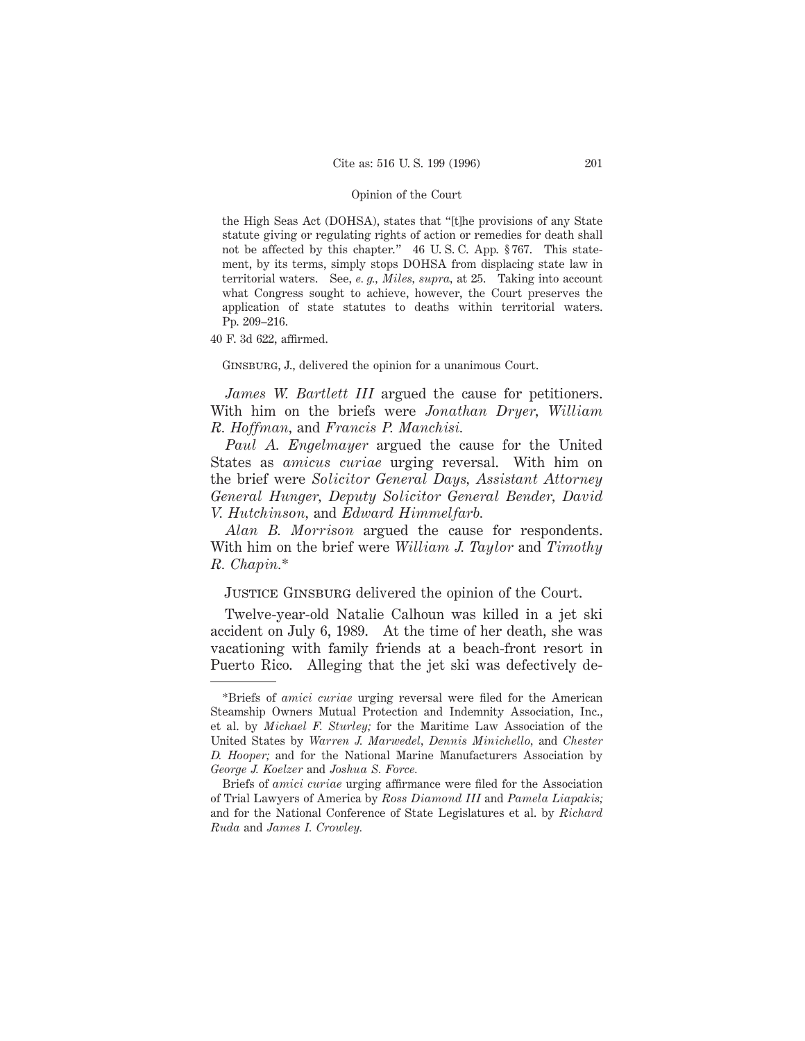the High Seas Act (DOHSA), states that "[t]he provisions of any State statute giving or regulating rights of action or remedies for death shall not be affected by this chapter." 46 U. S. C. App. § 767. This statement, by its terms, simply stops DOHSA from displacing state law in territorial waters. See, *e. g., Miles, supra,* at 25. Taking into account what Congress sought to achieve, however, the Court preserves the application of state statutes to deaths within territorial waters. Pp. 209–216.

40 F. 3d 622, affirmed.

Ginsburg, J., delivered the opinion for a unanimous Court.

*James W. Bartlett III* argued the cause for petitioners. With him on the briefs were *Jonathan Dryer, William R. Hoffman,* and *Francis P. Manchisi.*

*Paul A. Engelmayer* argued the cause for the United States as *amicus curiae* urging reversal. With him on the brief were *Solicitor General Days, Assistant Attorney General Hunger, Deputy Solicitor General Bender, David V. Hutchinson,* and *Edward Himmelfarb.*

*Alan B. Morrison* argued the cause for respondents. With him on the brief were *William J. Taylor* and *Timothy R. Chapin.*\*

# JUSTICE GINSBURG delivered the opinion of the Court.

Twelve-year-old Natalie Calhoun was killed in a jet ski accident on July 6, 1989. At the time of her death, she was vacationing with family friends at a beach-front resort in Puerto Rico. Alleging that the jet ski was defectively de-

<sup>\*</sup>Briefs of *amici curiae* urging reversal were filed for the American Steamship Owners Mutual Protection and Indemnity Association, Inc., et al. by *Michael F. Sturley;* for the Maritime Law Association of the United States by *Warren J. Marwedel, Dennis Minichello,* and *Chester D. Hooper;* and for the National Marine Manufacturers Association by *George J. Koelzer* and *Joshua S. Force.*

Briefs of *amici curiae* urging affirmance were filed for the Association of Trial Lawyers of America by *Ross Diamond III* and *Pamela Liapakis;* and for the National Conference of State Legislatures et al. by *Richard Ruda* and *James I. Crowley.*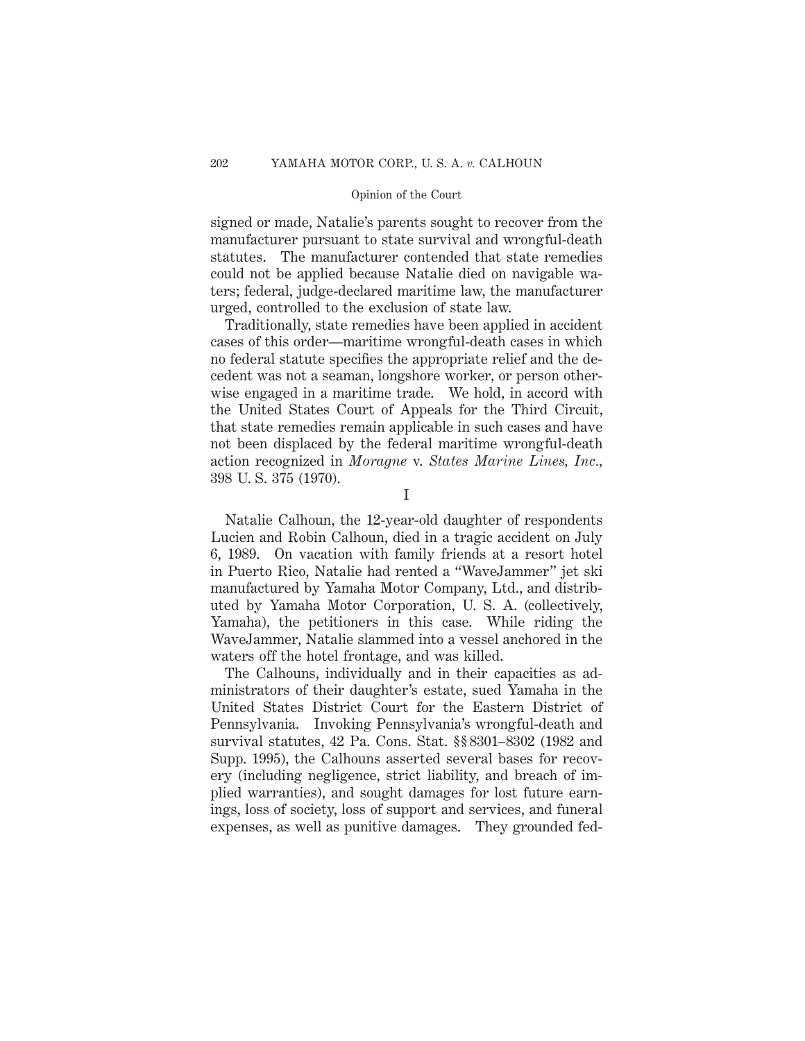signed or made, Natalie's parents sought to recover from the manufacturer pursuant to state survival and wrongful-death statutes. The manufacturer contended that state remedies could not be applied because Natalie died on navigable waters; federal, judge-declared maritime law, the manufacturer urged, controlled to the exclusion of state law.

Traditionally, state remedies have been applied in accident cases of this order—maritime wrongful-death cases in which no federal statute specifies the appropriate relief and the decedent was not a seaman, longshore worker, or person otherwise engaged in a maritime trade. We hold, in accord with the United States Court of Appeals for the Third Circuit, that state remedies remain applicable in such cases and have not been displaced by the federal maritime wrongful-death action recognized in *Moragne* v. *States Marine Lines, Inc.,* 398 U. S. 375 (1970).

I

Natalie Calhoun, the 12-year-old daughter of respondents Lucien and Robin Calhoun, died in a tragic accident on July 6, 1989. On vacation with family friends at a resort hotel in Puerto Rico, Natalie had rented a "WaveJammer" jet ski manufactured by Yamaha Motor Company, Ltd., and distributed by Yamaha Motor Corporation, U. S. A. (collectively, Yamaha), the petitioners in this case. While riding the WaveJammer, Natalie slammed into a vessel anchored in the waters off the hotel frontage, and was killed.

The Calhouns, individually and in their capacities as administrators of their daughter's estate, sued Yamaha in the United States District Court for the Eastern District of Pennsylvania. Invoking Pennsylvania's wrongful-death and survival statutes, 42 Pa. Cons. Stat. §§ 8301–8302 (1982 and Supp. 1995), the Calhouns asserted several bases for recovery (including negligence, strict liability, and breach of implied warranties), and sought damages for lost future earnings, loss of society, loss of support and services, and funeral expenses, as well as punitive damages. They grounded fed-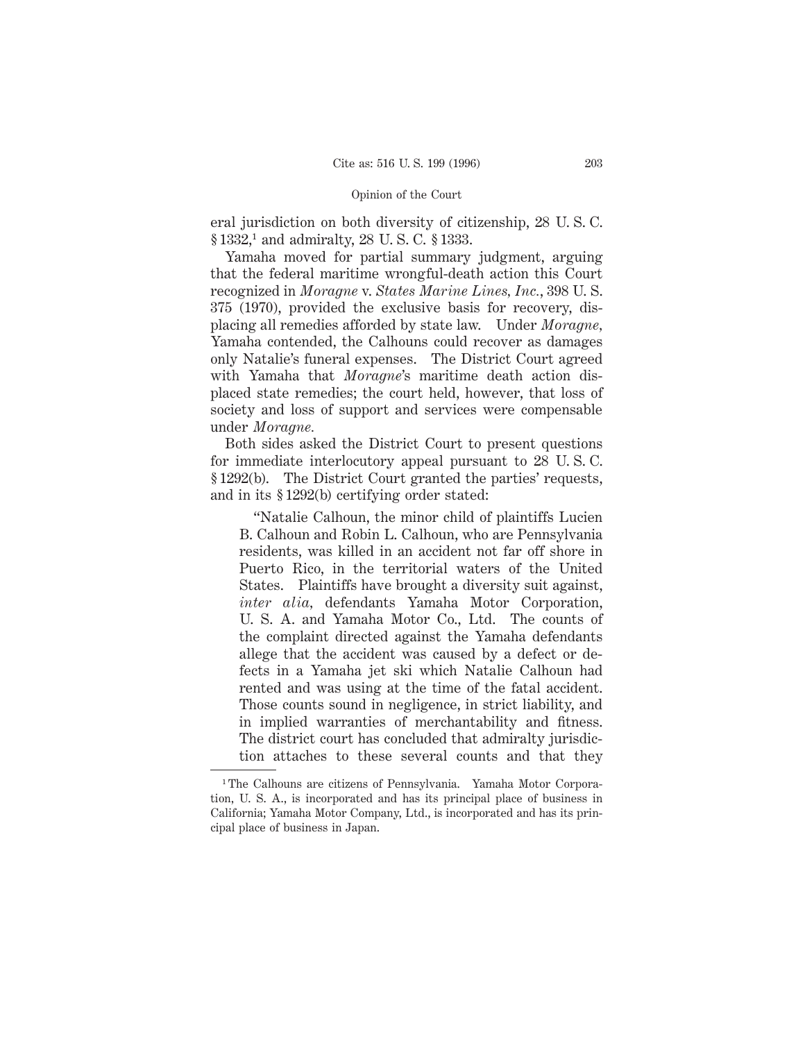eral jurisdiction on both diversity of citizenship, 28 U. S. C. § 1332,<sup>1</sup> and admiralty, 28 U.S.C. § 1333.

Yamaha moved for partial summary judgment, arguing that the federal maritime wrongful-death action this Court recognized in *Moragne* v. *States Marine Lines, Inc.*, 398 U. S. 375 (1970), provided the exclusive basis for recovery, displacing all remedies afforded by state law. Under *Moragne,* Yamaha contended, the Calhouns could recover as damages only Natalie's funeral expenses. The District Court agreed with Yamaha that *Moragne*'s maritime death action displaced state remedies; the court held, however, that loss of society and loss of support and services were compensable under *Moragne.*

Both sides asked the District Court to present questions for immediate interlocutory appeal pursuant to 28 U. S. C. § 1292(b). The District Court granted the parties' requests, and in its § 1292(b) certifying order stated:

"Natalie Calhoun, the minor child of plaintiffs Lucien B. Calhoun and Robin L. Calhoun, who are Pennsylvania residents, was killed in an accident not far off shore in Puerto Rico, in the territorial waters of the United States. Plaintiffs have brought a diversity suit against, *inter alia,* defendants Yamaha Motor Corporation, U. S. A. and Yamaha Motor Co., Ltd. The counts of the complaint directed against the Yamaha defendants allege that the accident was caused by a defect or defects in a Yamaha jet ski which Natalie Calhoun had rented and was using at the time of the fatal accident. Those counts sound in negligence, in strict liability, and in implied warranties of merchantability and fitness. The district court has concluded that admiralty jurisdiction attaches to these several counts and that they

<sup>&</sup>lt;sup>1</sup>The Calhouns are citizens of Pennsylvania. Yamaha Motor Corporation, U. S. A., is incorporated and has its principal place of business in California; Yamaha Motor Company, Ltd., is incorporated and has its principal place of business in Japan.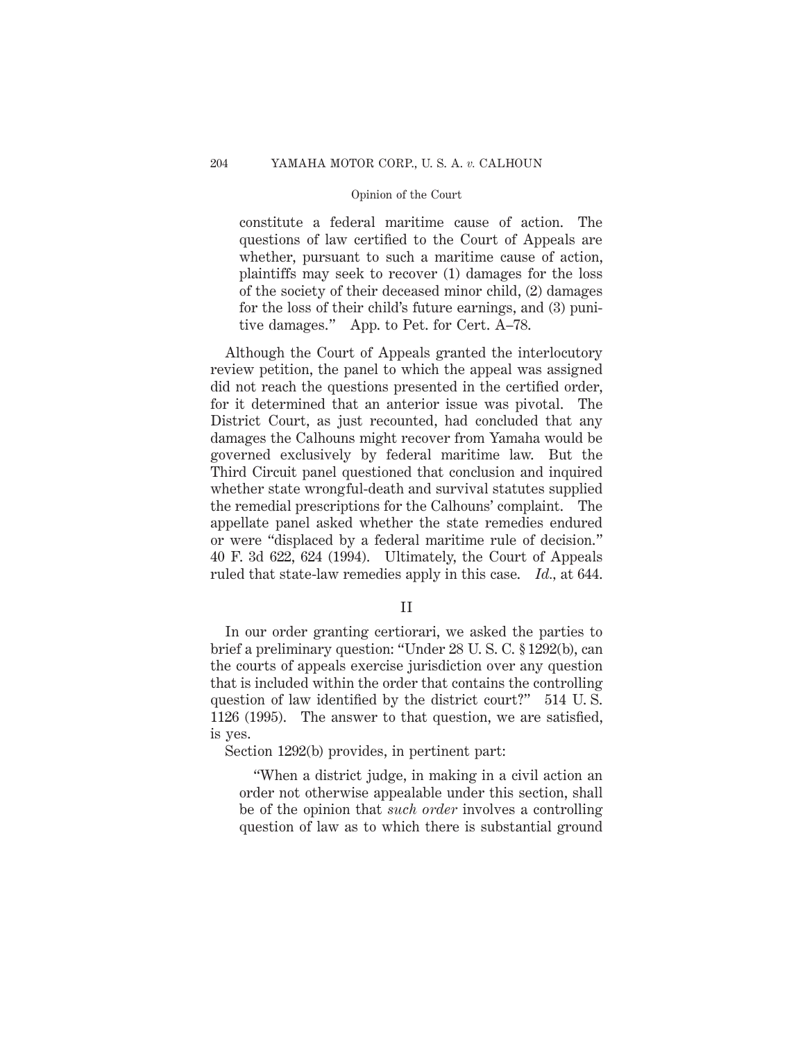constitute a federal maritime cause of action. The questions of law certified to the Court of Appeals are whether, pursuant to such a maritime cause of action, plaintiffs may seek to recover (1) damages for the loss of the society of their deceased minor child, (2) damages for the loss of their child's future earnings, and (3) punitive damages." App. to Pet. for Cert. A–78.

Although the Court of Appeals granted the interlocutory review petition, the panel to which the appeal was assigned did not reach the questions presented in the certified order, for it determined that an anterior issue was pivotal. The District Court, as just recounted, had concluded that any damages the Calhouns might recover from Yamaha would be governed exclusively by federal maritime law. But the Third Circuit panel questioned that conclusion and inquired whether state wrongful-death and survival statutes supplied the remedial prescriptions for the Calhouns' complaint. The appellate panel asked whether the state remedies endured or were "displaced by a federal maritime rule of decision." 40 F. 3d 622, 624 (1994). Ultimately, the Court of Appeals ruled that state-law remedies apply in this case. *Id.,* at 644.

II

In our order granting certiorari, we asked the parties to brief a preliminary question: "Under 28 U. S. C. § 1292(b), can the courts of appeals exercise jurisdiction over any question that is included within the order that contains the controlling question of law identified by the district court?" 514 U. S. 1126 (1995). The answer to that question, we are satisfied, is yes.

Section 1292(b) provides, in pertinent part:

"When a district judge, in making in a civil action an order not otherwise appealable under this section, shall be of the opinion that *such order* involves a controlling question of law as to which there is substantial ground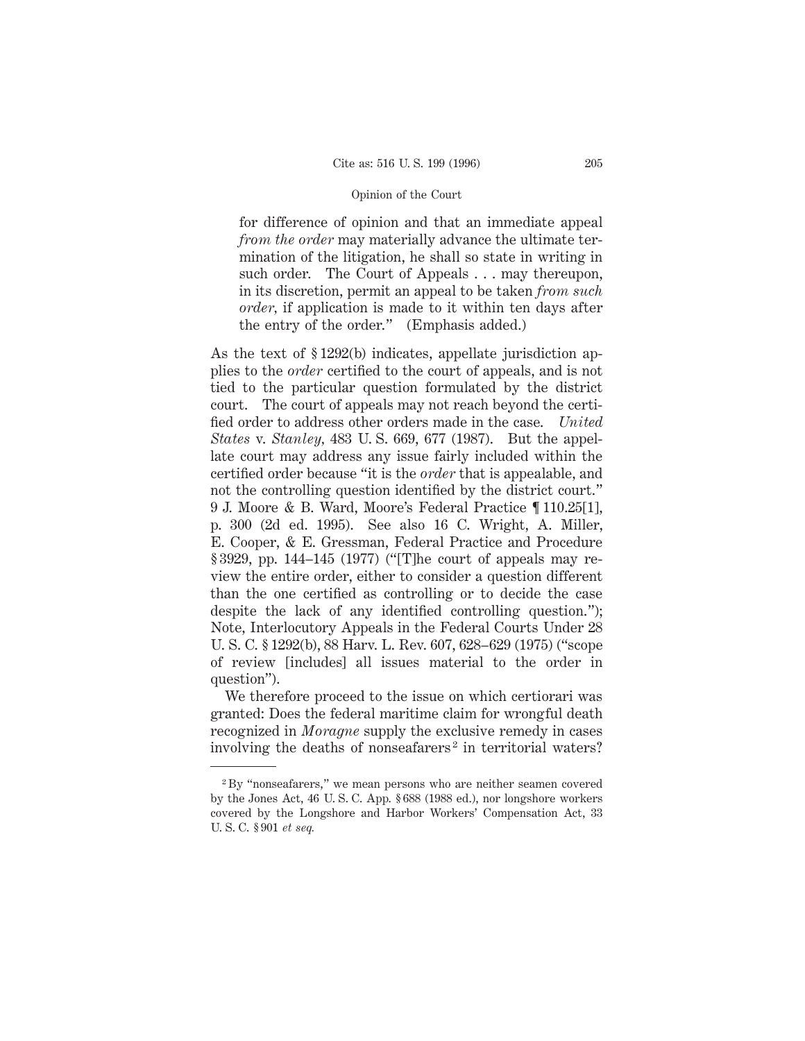for difference of opinion and that an immediate appeal *from the order* may materially advance the ultimate termination of the litigation, he shall so state in writing in such order. The Court of Appeals . . . may thereupon, in its discretion, permit an appeal to be taken *from such order,* if application is made to it within ten days after the entry of the order." (Emphasis added.)

As the text of § 1292(b) indicates, appellate jurisdiction applies to the *order* certified to the court of appeals, and is not tied to the particular question formulated by the district court. The court of appeals may not reach beyond the certified order to address other orders made in the case. *United States* v. *Stanley,* 483 U. S. 669, 677 (1987). But the appellate court may address any issue fairly included within the certified order because "it is the *order* that is appealable, and not the controlling question identified by the district court." 9 J. Moore & B. Ward, Moore's Federal Practice ¶ 110.25[1], p. 300 (2d ed. 1995). See also 16 C. Wright, A. Miller, E. Cooper, & E. Gressman, Federal Practice and Procedure § 3929, pp. 144–145 (1977) ("[T]he court of appeals may review the entire order, either to consider a question different than the one certified as controlling or to decide the case despite the lack of any identified controlling question."); Note, Interlocutory Appeals in the Federal Courts Under 28 U. S. C. § 1292(b), 88 Harv. L. Rev. 607, 628–629 (1975) ("scope of review [includes] all issues material to the order in question").

We therefore proceed to the issue on which certiorari was granted: Does the federal maritime claim for wrongful death recognized in *Moragne* supply the exclusive remedy in cases involving the deaths of nonseafarers<sup>2</sup> in territorial waters?

<sup>2</sup> By "nonseafarers," we mean persons who are neither seamen covered by the Jones Act, 46 U. S. C. App. § 688 (1988 ed.), nor longshore workers covered by the Longshore and Harbor Workers' Compensation Act, 33 U. S. C. § 901 *et seq.*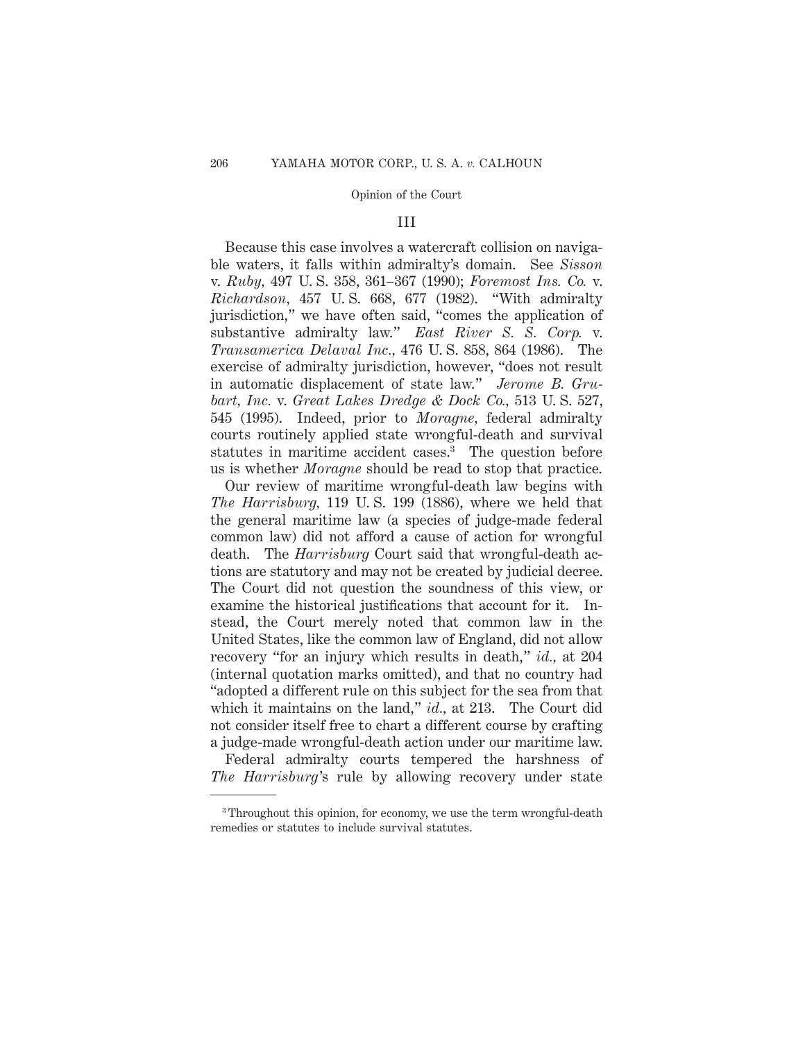# III

Because this case involves a watercraft collision on navigable waters, it falls within admiralty's domain. See *Sisson* v. *Ruby,* 497 U. S. 358, 361–367 (1990); *Foremost Ins. Co.* v. *Richardson,* 457 U. S. 668, 677 (1982). "With admiralty jurisdiction," we have often said, "comes the application of substantive admiralty law." *East River S. S. Corp.* v. *Transamerica Delaval Inc.,* 476 U. S. 858, 864 (1986). The exercise of admiralty jurisdiction, however, "does not result in automatic displacement of state law." *Jerome B. Grubart, Inc.* v. *Great Lakes Dredge & Dock Co.,* 513 U. S. 527, 545 (1995). Indeed, prior to *Moragne,* federal admiralty courts routinely applied state wrongful-death and survival statutes in maritime accident cases.<sup>3</sup> The question before us is whether *Moragne* should be read to stop that practice.

Our review of maritime wrongful-death law begins with *The Harrisburg,* 119 U. S. 199 (1886), where we held that the general maritime law (a species of judge-made federal common law) did not afford a cause of action for wrongful death. The *Harrisburg* Court said that wrongful-death actions are statutory and may not be created by judicial decree. The Court did not question the soundness of this view, or examine the historical justifications that account for it. Instead, the Court merely noted that common law in the United States, like the common law of England, did not allow recovery "for an injury which results in death," *id.,* at 204 (internal quotation marks omitted), and that no country had "adopted a different rule on this subject for the sea from that which it maintains on the land," *id.,* at 213. The Court did not consider itself free to chart a different course by crafting a judge-made wrongful-death action under our maritime law.

Federal admiralty courts tempered the harshness of *The Harrisburg*'s rule by allowing recovery under state

<sup>&</sup>lt;sup>3</sup> Throughout this opinion, for economy, we use the term wrongful-death remedies or statutes to include survival statutes.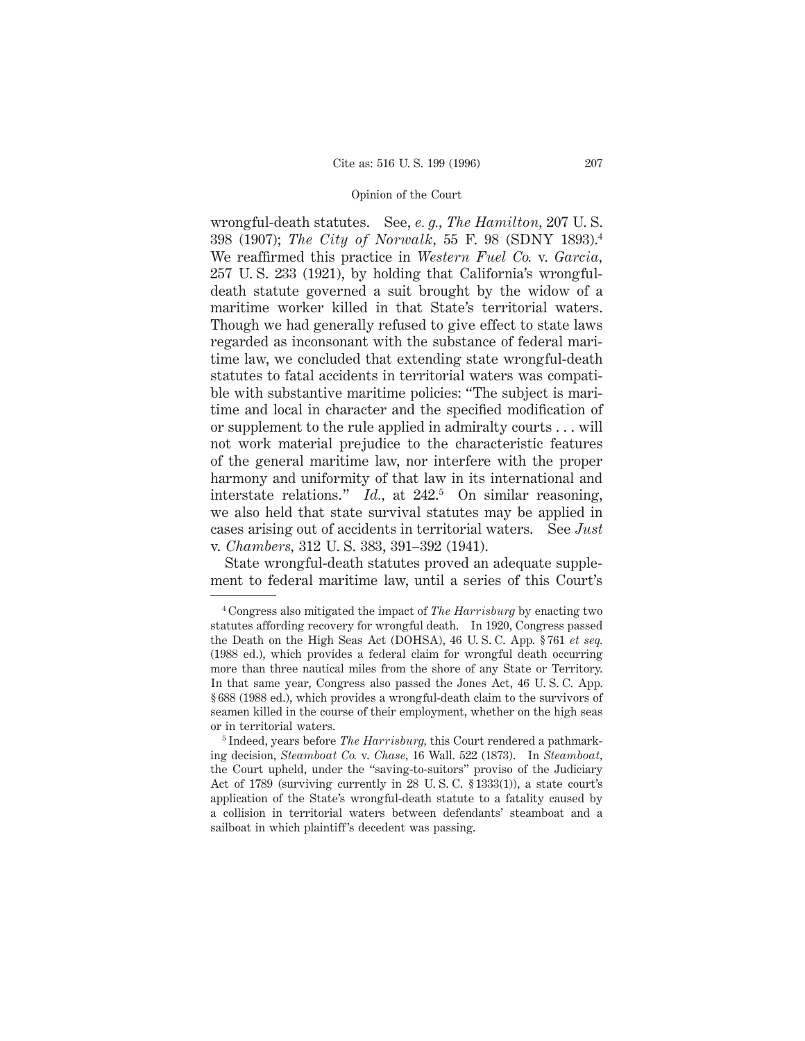wrongful-death statutes. See, *e. g., The Hamilton,* 207 U. S. 398 (1907); *The City of Norwalk,* 55 F. 98 (SDNY 1893).4 We reaffirmed this practice in *Western Fuel Co.* v. *Garcia,* 257 U. S. 233 (1921), by holding that California's wrongfuldeath statute governed a suit brought by the widow of a maritime worker killed in that State's territorial waters. Though we had generally refused to give effect to state laws regarded as inconsonant with the substance of federal maritime law, we concluded that extending state wrongful-death statutes to fatal accidents in territorial waters was compatible with substantive maritime policies: "The subject is maritime and local in character and the specified modification of or supplement to the rule applied in admiralty courts . . . will not work material prejudice to the characteristic features of the general maritime law, nor interfere with the proper harmony and uniformity of that law in its international and interstate relations." *Id.*, at 242.<sup>5</sup> On similar reasoning, we also held that state survival statutes may be applied in cases arising out of accidents in territorial waters. See *Just* v. *Chambers,* 312 U. S. 383, 391–392 (1941).

State wrongful-death statutes proved an adequate supplement to federal maritime law, until a series of this Court's

<sup>4</sup> Congress also mitigated the impact of *The Harrisburg* by enacting two statutes affording recovery for wrongful death. In 1920, Congress passed the Death on the High Seas Act (DOHSA), 46 U. S. C. App. § 761 *et seq.* (1988 ed.), which provides a federal claim for wrongful death occurring more than three nautical miles from the shore of any State or Territory. In that same year, Congress also passed the Jones Act, 46 U. S. C. App. § 688 (1988 ed.), which provides a wrongful-death claim to the survivors of seamen killed in the course of their employment, whether on the high seas or in territorial waters.

<sup>5</sup> Indeed, years before *The Harrisburg,* this Court rendered a pathmarking decision, *Steamboat Co.* v. *Chase,* 16 Wall. 522 (1873). In *Steamboat,* the Court upheld, under the "saving-to-suitors" proviso of the Judiciary Act of 1789 (surviving currently in 28 U. S. C. § 1333(1)), a state court's application of the State's wrongful-death statute to a fatality caused by a collision in territorial waters between defendants' steamboat and a sailboat in which plaintiff's decedent was passing.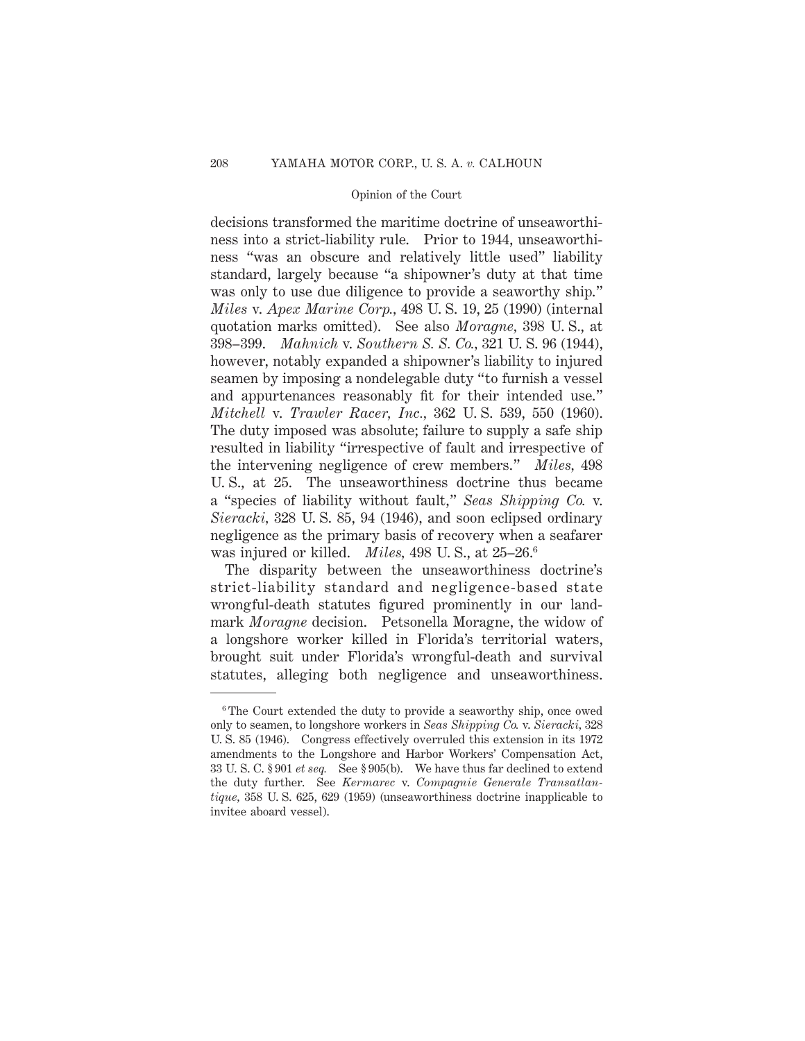decisions transformed the maritime doctrine of unseaworthiness into a strict-liability rule. Prior to 1944, unseaworthiness "was an obscure and relatively little used" liability standard, largely because "a shipowner's duty at that time was only to use due diligence to provide a seaworthy ship." *Miles* v. *Apex Marine Corp.,* 498 U. S. 19, 25 (1990) (internal quotation marks omitted). See also *Moragne,* 398 U. S., at 398–399. *Mahnich* v. *Southern S. S. Co.,* 321 U. S. 96 (1944), however, notably expanded a shipowner's liability to injured seamen by imposing a nondelegable duty "to furnish a vessel and appurtenances reasonably fit for their intended use." *Mitchell* v. *Trawler Racer, Inc.,* 362 U. S. 539, 550 (1960). The duty imposed was absolute; failure to supply a safe ship resulted in liability "irrespective of fault and irrespective of the intervening negligence of crew members." *Miles,* 498 U. S., at 25. The unseaworthiness doctrine thus became a "species of liability without fault," *Seas Shipping Co.* v. *Sieracki,* 328 U. S. 85, 94 (1946), and soon eclipsed ordinary negligence as the primary basis of recovery when a seafarer was injured or killed. *Miles,* 498 U. S., at 25–26.6

The disparity between the unseaworthiness doctrine's strict-liability standard and negligence-based state wrongful-death statutes figured prominently in our landmark *Moragne* decision. Petsonella Moragne, the widow of a longshore worker killed in Florida's territorial waters, brought suit under Florida's wrongful-death and survival statutes, alleging both negligence and unseaworthiness.

<sup>&</sup>lt;sup>6</sup>The Court extended the duty to provide a seaworthy ship, once owed only to seamen, to longshore workers in *Seas Shipping Co.* v. *Sieracki,* 328 U. S. 85 (1946). Congress effectively overruled this extension in its 1972 amendments to the Longshore and Harbor Workers' Compensation Act, 33 U. S. C. § 901 *et seq.* See § 905(b). We have thus far declined to extend the duty further. See *Kermarec* v. *Compagnie Generale Transatlantique,* 358 U. S. 625, 629 (1959) (unseaworthiness doctrine inapplicable to invitee aboard vessel).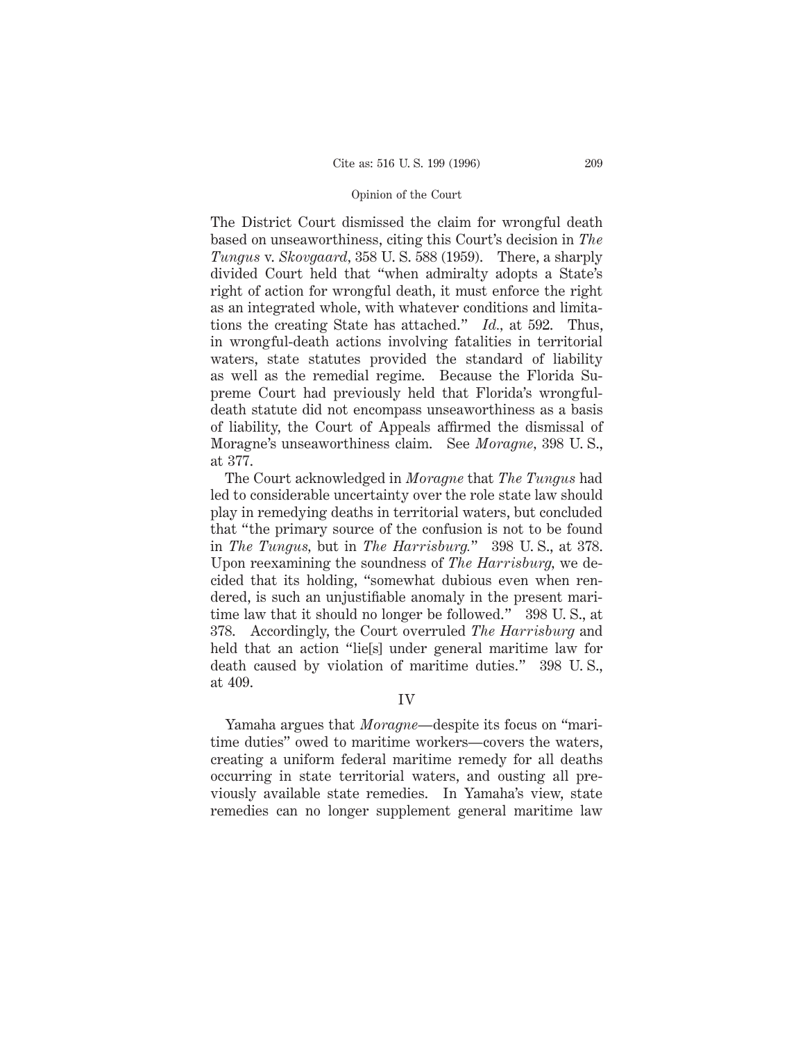The District Court dismissed the claim for wrongful death based on unseaworthiness, citing this Court's decision in *The Tungus* v. *Skovgaard,* 358 U. S. 588 (1959). There, a sharply divided Court held that "when admiralty adopts a State's right of action for wrongful death, it must enforce the right as an integrated whole, with whatever conditions and limitations the creating State has attached." *Id.,* at 592. Thus, in wrongful-death actions involving fatalities in territorial waters, state statutes provided the standard of liability as well as the remedial regime. Because the Florida Supreme Court had previously held that Florida's wrongfuldeath statute did not encompass unseaworthiness as a basis of liability, the Court of Appeals affirmed the dismissal of Moragne's unseaworthiness claim. See *Moragne,* 398 U. S., at 377.

The Court acknowledged in *Moragne* that *The Tungus* had led to considerable uncertainty over the role state law should play in remedying deaths in territorial waters, but concluded that "the primary source of the confusion is not to be found in *The Tungus,* but in *The Harrisburg.*" 398 U. S., at 378. Upon reexamining the soundness of *The Harrisburg,* we decided that its holding, "somewhat dubious even when rendered, is such an unjustifiable anomaly in the present maritime law that it should no longer be followed." 398 U. S., at 378. Accordingly, the Court overruled *The Harrisburg* and held that an action "lie<sup>[s]</sup> under general maritime law for death caused by violation of maritime duties." 398 U. S., at 409.

# IV

Yamaha argues that *Moragne*—despite its focus on "maritime duties" owed to maritime workers—covers the waters, creating a uniform federal maritime remedy for all deaths occurring in state territorial waters, and ousting all previously available state remedies. In Yamaha's view, state remedies can no longer supplement general maritime law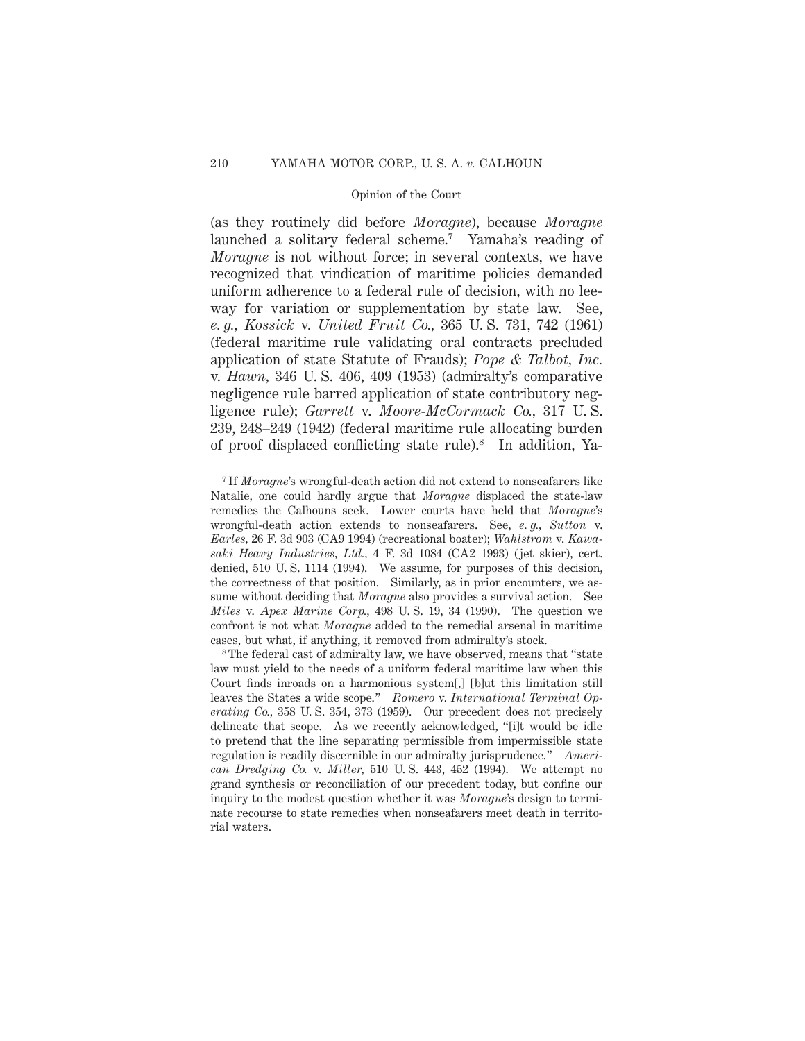(as they routinely did before *Moragne*), because *Moragne* launched a solitary federal scheme.7 Yamaha's reading of *Moragne* is not without force; in several contexts, we have recognized that vindication of maritime policies demanded uniform adherence to a federal rule of decision, with no leeway for variation or supplementation by state law. See, *e. g., Kossick* v. *United Fruit Co.,* 365 U. S. 731, 742 (1961) (federal maritime rule validating oral contracts precluded application of state Statute of Frauds); *Pope & Talbot, Inc.* v. *Hawn,* 346 U. S. 406, 409 (1953) (admiralty's comparative negligence rule barred application of state contributory negligence rule); *Garrett* v. *Moore-McCormack Co.,* 317 U. S. 239, 248–249 (1942) (federal maritime rule allocating burden of proof displaced conflicting state rule).8 In addition, Ya-

<sup>7</sup> If *Moragne*'s wrongful-death action did not extend to nonseafarers like Natalie, one could hardly argue that *Moragne* displaced the state-law remedies the Calhouns seek. Lower courts have held that *Moragne*'s wrongful-death action extends to nonseafarers. See, *e. g., Sutton* v. *Earles,* 26 F. 3d 903 (CA9 1994) (recreational boater); *Wahlstrom* v. *Kawasaki Heavy Industries, Ltd.,* 4 F. 3d 1084 (CA2 1993) (jet skier), cert. denied, 510 U. S. 1114 (1994). We assume, for purposes of this decision, the correctness of that position. Similarly, as in prior encounters, we assume without deciding that *Moragne* also provides a survival action. See *Miles* v. *Apex Marine Corp.,* 498 U. S. 19, 34 (1990). The question we confront is not what *Moragne* added to the remedial arsenal in maritime cases, but what, if anything, it removed from admiralty's stock.

<sup>8</sup> The federal cast of admiralty law, we have observed, means that "state law must yield to the needs of a uniform federal maritime law when this Court finds inroads on a harmonious system[,] [b]ut this limitation still leaves the States a wide scope." *Romero* v. *International Terminal Operating Co.,* 358 U. S. 354, 373 (1959). Our precedent does not precisely delineate that scope. As we recently acknowledged, "[i]t would be idle to pretend that the line separating permissible from impermissible state regulation is readily discernible in our admiralty jurisprudence." *American Dredging Co.* v. *Miller,* 510 U. S. 443, 452 (1994). We attempt no grand synthesis or reconciliation of our precedent today, but confine our inquiry to the modest question whether it was *Moragne*'s design to terminate recourse to state remedies when nonseafarers meet death in territorial waters.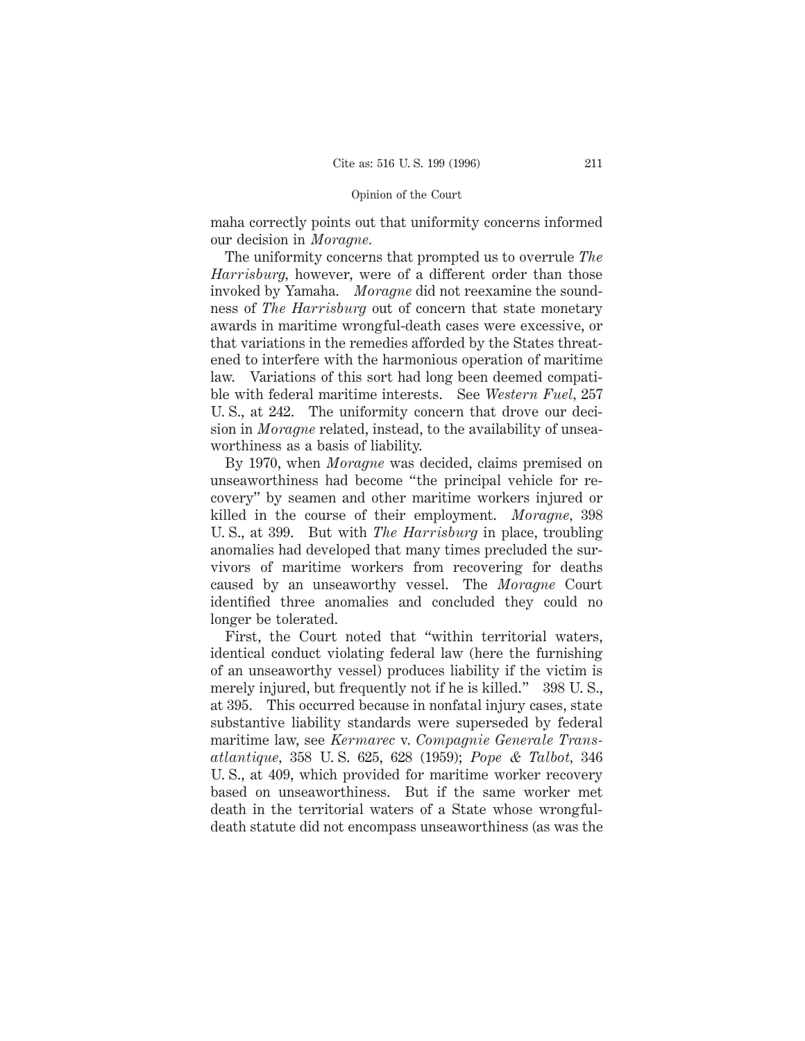maha correctly points out that uniformity concerns informed our decision in *Moragne.*

The uniformity concerns that prompted us to overrule *The Harrisburg,* however, were of a different order than those invoked by Yamaha. *Moragne* did not reexamine the soundness of *The Harrisburg* out of concern that state monetary awards in maritime wrongful-death cases were excessive, or that variations in the remedies afforded by the States threatened to interfere with the harmonious operation of maritime law. Variations of this sort had long been deemed compatible with federal maritime interests. See *Western Fuel,* 257 U. S., at 242. The uniformity concern that drove our decision in *Moragne* related, instead, to the availability of unseaworthiness as a basis of liability.

By 1970, when *Moragne* was decided, claims premised on unseaworthiness had become "the principal vehicle for recovery" by seamen and other maritime workers injured or killed in the course of their employment. *Moragne,* 398 U. S., at 399. But with *The Harrisburg* in place, troubling anomalies had developed that many times precluded the survivors of maritime workers from recovering for deaths caused by an unseaworthy vessel. The *Moragne* Court identified three anomalies and concluded they could no longer be tolerated.

First, the Court noted that "within territorial waters, identical conduct violating federal law (here the furnishing of an unseaworthy vessel) produces liability if the victim is merely injured, but frequently not if he is killed." 398 U.S., at 395. This occurred because in nonfatal injury cases, state substantive liability standards were superseded by federal maritime law, see *Kermarec* v. *Compagnie Generale Transatlantique,* 358 U. S. 625, 628 (1959); *Pope & Talbot,* 346 U. S., at 409, which provided for maritime worker recovery based on unseaworthiness. But if the same worker met death in the territorial waters of a State whose wrongfuldeath statute did not encompass unseaworthiness (as was the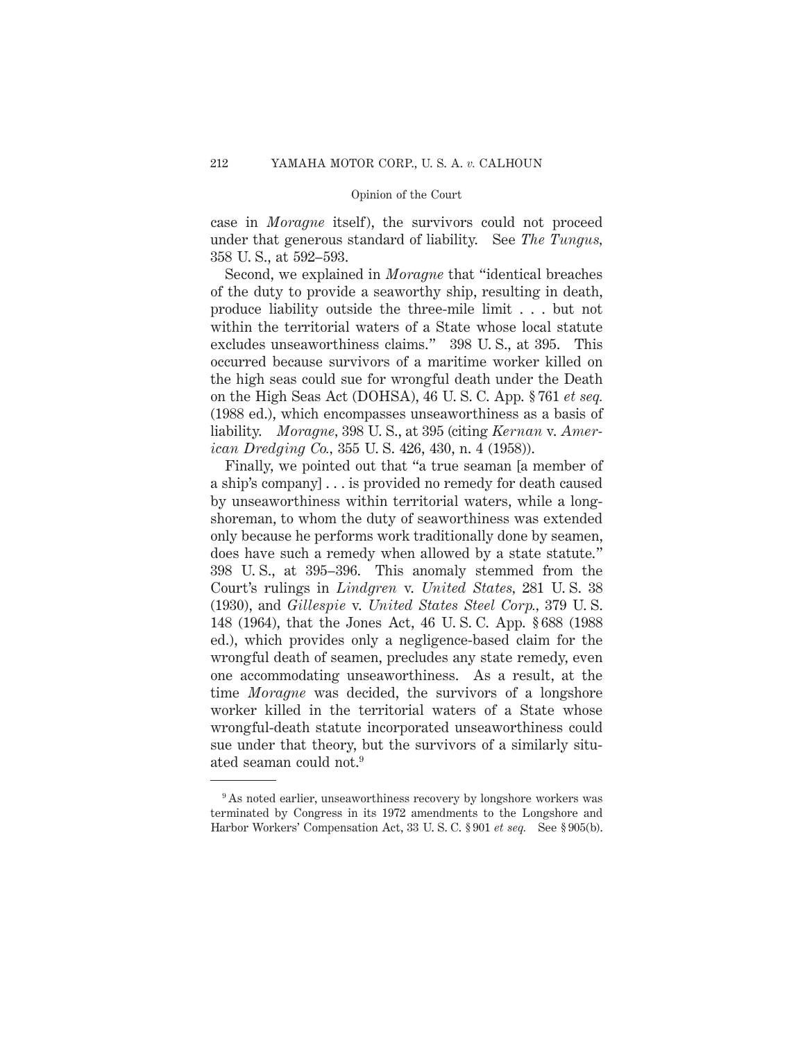case in *Moragne* itself), the survivors could not proceed under that generous standard of liability. See *The Tungus,* 358 U. S., at 592–593.

Second, we explained in *Moragne* that "identical breaches of the duty to provide a seaworthy ship, resulting in death, produce liability outside the three-mile limit . . . but not within the territorial waters of a State whose local statute excludes unseaworthiness claims." 398 U. S., at 395. This occurred because survivors of a maritime worker killed on the high seas could sue for wrongful death under the Death on the High Seas Act (DOHSA), 46 U. S. C. App. § 761 *et seq.* (1988 ed.), which encompasses unseaworthiness as a basis of liability. *Moragne,* 398 U. S., at 395 (citing *Kernan* v. *American Dredging Co.,* 355 U. S. 426, 430, n. 4 (1958)).

Finally, we pointed out that "a true seaman [a member of a ship's company] . . . is provided no remedy for death caused by unseaworthiness within territorial waters, while a longshoreman, to whom the duty of seaworthiness was extended only because he performs work traditionally done by seamen, does have such a remedy when allowed by a state statute." 398 U. S., at 395–396. This anomaly stemmed from the Court's rulings in *Lindgren* v. *United States,* 281 U. S. 38 (1930), and *Gillespie* v. *United States Steel Corp.,* 379 U. S. 148 (1964), that the Jones Act, 46 U. S. C. App. § 688 (1988 ed.), which provides only a negligence-based claim for the wrongful death of seamen, precludes any state remedy, even one accommodating unseaworthiness. As a result, at the time *Moragne* was decided, the survivors of a longshore worker killed in the territorial waters of a State whose wrongful-death statute incorporated unseaworthiness could sue under that theory, but the survivors of a similarly situated seaman could not.9

<sup>&</sup>lt;sup>9</sup> As noted earlier, unseaworthiness recovery by longshore workers was terminated by Congress in its 1972 amendments to the Longshore and Harbor Workers' Compensation Act, 33 U. S. C. § 901 *et seq.* See § 905(b).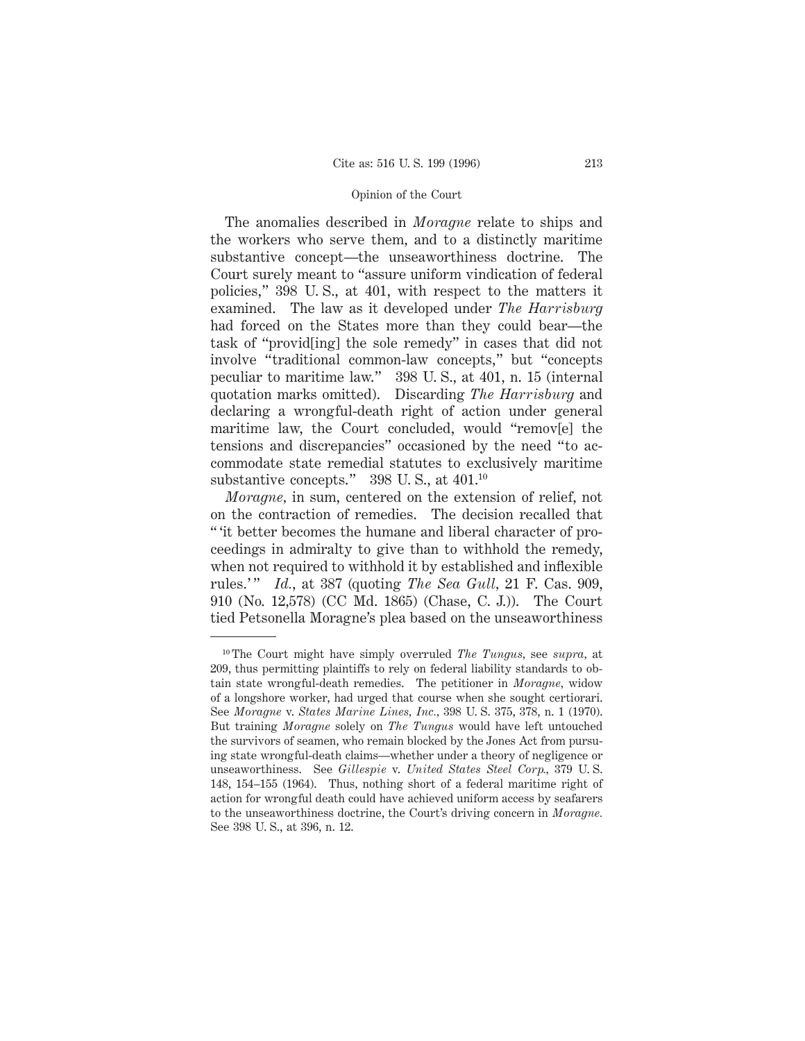The anomalies described in *Moragne* relate to ships and the workers who serve them, and to a distinctly maritime substantive concept—the unseaworthiness doctrine. The Court surely meant to "assure uniform vindication of federal policies," 398 U. S., at 401, with respect to the matters it examined. The law as it developed under *The Harrisburg* had forced on the States more than they could bear—the task of "provid[ing] the sole remedy" in cases that did not involve "traditional common-law concepts," but "concepts peculiar to maritime law." 398 U. S., at 401, n. 15 (internal quotation marks omitted). Discarding *The Harrisburg* and declaring a wrongful-death right of action under general maritime law, the Court concluded, would "remov[e] the tensions and discrepancies" occasioned by the need "to accommodate state remedial statutes to exclusively maritime substantive concepts." 398 U.S., at  $401$ .<sup>10</sup>

*Moragne,* in sum, centered on the extension of relief, not on the contraction of remedies. The decision recalled that " 'it better becomes the humane and liberal character of proceedings in admiralty to give than to withhold the remedy, when not required to withhold it by established and inflexible rules.' " *Id.*, at 387 (quoting *The Sea Gull,* 21 F. Cas. 909, 910 (No. 12,578) (CC Md. 1865) (Chase, C. J.)). The Court tied Petsonella Moragne's plea based on the unseaworthiness

<sup>10</sup> The Court might have simply overruled *The Tungus,* see *supra,* at 209, thus permitting plaintiffs to rely on federal liability standards to obtain state wrongful-death remedies. The petitioner in *Moragne,* widow of a longshore worker, had urged that course when she sought certiorari. See *Moragne* v. *States Marine Lines, Inc.,* 398 U. S. 375, 378, n. 1 (1970). But training *Moragne* solely on *The Tungus* would have left untouched the survivors of seamen, who remain blocked by the Jones Act from pursuing state wrongful-death claims—whether under a theory of negligence or unseaworthiness. See *Gillespie* v. *United States Steel Corp.,* 379 U. S. 148, 154–155 (1964). Thus, nothing short of a federal maritime right of action for wrongful death could have achieved uniform access by seafarers to the unseaworthiness doctrine, the Court's driving concern in *Moragne.* See 398 U. S., at 396, n. 12.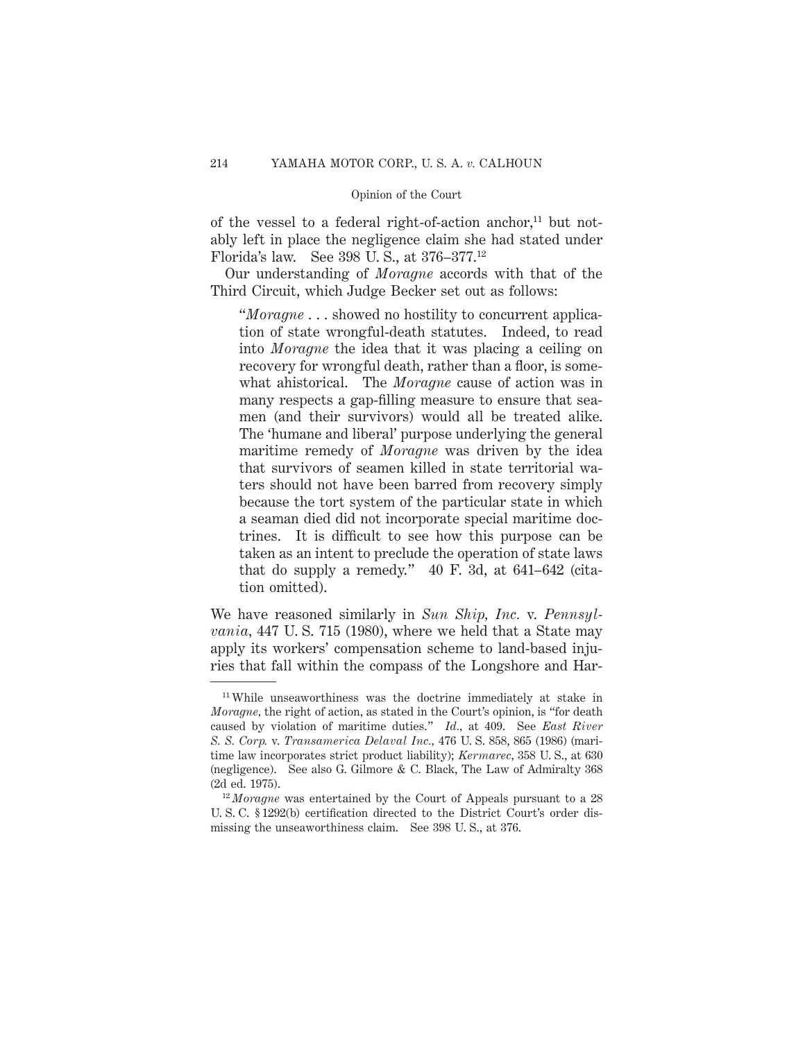of the vessel to a federal right-of-action anchor, $^{11}$  but notably left in place the negligence claim she had stated under Florida's law. See 398 U. S., at 376–377.12

Our understanding of *Moragne* accords with that of the Third Circuit, which Judge Becker set out as follows:

"*Moragne* . . . showed no hostility to concurrent application of state wrongful-death statutes. Indeed, to read into *Moragne* the idea that it was placing a ceiling on recovery for wrongful death, rather than a floor, is somewhat ahistorical. The *Moragne* cause of action was in many respects a gap-filling measure to ensure that seamen (and their survivors) would all be treated alike. The 'humane and liberal' purpose underlying the general maritime remedy of *Moragne* was driven by the idea that survivors of seamen killed in state territorial waters should not have been barred from recovery simply because the tort system of the particular state in which a seaman died did not incorporate special maritime doctrines. It is difficult to see how this purpose can be taken as an intent to preclude the operation of state laws that do supply a remedy." 40 F. 3d, at 641–642 (citation omitted).

We have reasoned similarly in *Sun Ship, Inc.* v. *Pennsylvania,* 447 U. S. 715 (1980), where we held that a State may apply its workers' compensation scheme to land-based injuries that fall within the compass of the Longshore and Har-

<sup>11</sup> While unseaworthiness was the doctrine immediately at stake in *Moragne*, the right of action, as stated in the Court's opinion, is "for death" caused by violation of maritime duties." *Id.,* at 409. See *East River S. S. Corp.* v. *Transamerica Delaval Inc.,* 476 U. S. 858, 865 (1986) (maritime law incorporates strict product liability); *Kermarec,* 358 U. S., at 630 (negligence). See also G. Gilmore & C. Black, The Law of Admiralty 368 (2d ed. 1975).

<sup>&</sup>lt;sup>12</sup> Moragne was entertained by the Court of Appeals pursuant to a 28 U. S. C. § 1292(b) certification directed to the District Court's order dismissing the unseaworthiness claim. See 398 U. S., at 376.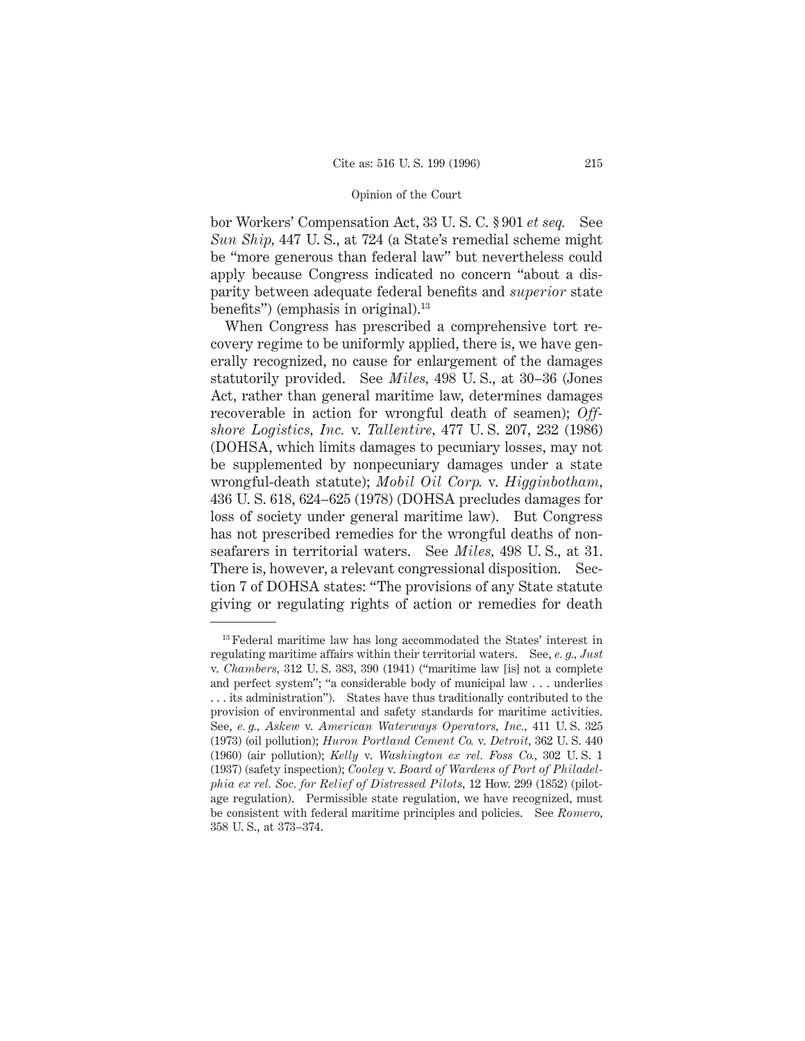bor Workers' Compensation Act, 33 U. S. C. § 901 *et seq.* See *Sun Ship,* 447 U. S., at 724 (a State's remedial scheme might be "more generous than federal law" but nevertheless could apply because Congress indicated no concern "about a disparity between adequate federal benefits and *superior* state benefits") (emphasis in original).13

When Congress has prescribed a comprehensive tort recovery regime to be uniformly applied, there is, we have generally recognized, no cause for enlargement of the damages statutorily provided. See *Miles,* 498 U. S., at 30–36 (Jones Act, rather than general maritime law, determines damages recoverable in action for wrongful death of seamen); *Offshore Logistics, Inc.* v. *Tallentire,* 477 U. S. 207, 232 (1986) (DOHSA, which limits damages to pecuniary losses, may not be supplemented by nonpecuniary damages under a state wrongful-death statute); *Mobil Oil Corp.* v. *Higginbotham,* 436 U. S. 618, 624–625 (1978) (DOHSA precludes damages for loss of society under general maritime law). But Congress has not prescribed remedies for the wrongful deaths of nonseafarers in territorial waters. See *Miles,* 498 U. S., at 31. There is, however, a relevant congressional disposition. Section 7 of DOHSA states: "The provisions of any State statute giving or regulating rights of action or remedies for death

<sup>&</sup>lt;sup>13</sup> Federal maritime law has long accommodated the States' interest in regulating maritime affairs within their territorial waters. See, *e. g., Just* v. *Chambers,* 312 U. S. 383, 390 (1941) ("maritime law [is] not a complete and perfect system"; "a considerable body of municipal law... underlies . . . its administration"). States have thus traditionally contributed to the provision of environmental and safety standards for maritime activities. See, *e. g., Askew* v. *American Waterways Operators, Inc.,* 411 U. S. 325 (1973) (oil pollution); *Huron Portland Cement Co.* v. *Detroit,* 362 U. S. 440 (1960) (air pollution); *Kelly* v. *Washington ex rel. Foss Co.,* 302 U. S. 1 (1937) (safety inspection); *Cooley* v. *Board of Wardens of Port of Philadelphia ex rel. Soc. for Relief of Distressed Pilots,* 12 How. 299 (1852) (pilotage regulation). Permissible state regulation, we have recognized, must be consistent with federal maritime principles and policies. See *Romero,* 358 U. S., at 373–374.